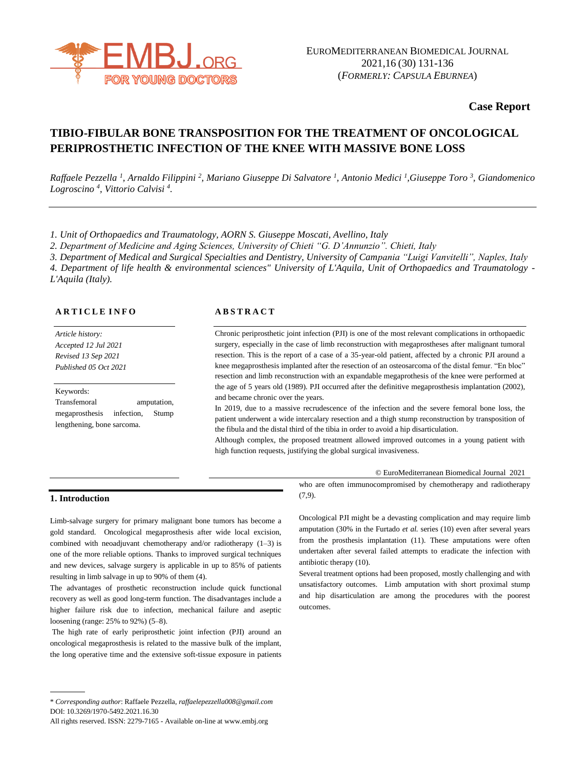

## **Case Report**

# **TIBIO-FIBULAR BONE TRANSPOSITION FOR THE TREATMENT OF ONCOLOGICAL PERIPROSTHETIC INFECTION OF THE KNEE WITH MASSIVE BONE LOSS**

*Raffaele Pezzella <sup>1</sup> , Arnaldo Filippini <sup>2</sup> , Mariano Giuseppe Di Salvatore <sup>1</sup> , Antonio Medici <sup>1</sup> ,Giuseppe Toro <sup>3</sup> , Giandomenico Logroscino <sup>4</sup> , Vittorio Calvisi <sup>4</sup> .*

*1. Unit of Orthopaedics and Traumatology, AORN S. Giuseppe Moscati, Avellino, Italy*

*2. Department of Medicine and Aging Sciences, University of Chieti "G. D'Annunzio". Chieti, Italy*

*3. Department of Medical and Surgical Specialties and Dentistry, University of Campania "Luigi Vanvitelli", Naples, Italy*

*4. Department of life health & environmental sciences" University of L'Aquila, Unit of Orthopaedics and Traumatology - L'Aquila (Italy).*

#### **A R T I C L E I N F O**

*Article history: Accepted 12 Jul 2021 Revised 13 Sep 2021 Published 05 Oct 2021*

## Keywords: Transfemoral amputation, megaprosthesis infection, Stump lengthening, bone sarcoma.

#### **A B S T R A C T**

Chronic periprosthetic joint infection (PJI) is one of the most relevant complications in orthopaedic surgery, especially in the case of limb reconstruction with megaprostheses after malignant tumoral resection. This is the report of a case of a 35-year-old patient, affected by a chronic PJI around a knee megaprosthesis implanted after the resection of an osteosarcoma of the distal femur. "En bloc" resection and limb reconstruction with an expandable megaprothesis of the knee were performed at the age of 5 years old (1989). PJI occurred after the definitive megaprosthesis implantation (2002), and became chronic over the years.

In 2019, due to a massive recrudescence of the infection and the severe femoral bone loss, the patient underwent a wide intercalary resection and a thigh stump reconstruction by transposition of the fibula and the distal third of the tibia in order to avoid a hip disarticulation.

Although complex, the proposed treatment allowed improved outcomes in a young patient with high function requests, justifying the global surgical invasiveness.

© EuroMediterranean Biomedical Journal 2021

#### **1. Introduction**

Limb-salvage surgery for primary malignant bone tumors has become a gold standard. Oncological megaprosthesis after wide local excision, combined with neoadjuvant chemotherapy and/or radiotherapy (1–3) is one of the more reliable options. Thanks to improved surgical techniques and new devices, salvage surgery is applicable in up to 85% of patients resulting in limb salvage in up to 90% of them (4).

The advantages of prosthetic reconstruction include quick functional recovery as well as good long-term function. The disadvantages include a higher failure risk due to infection, mechanical failure and aseptic loosening (range: 25% to 92%) (5–8).

The high rate of early periprosthetic joint infection (PJI) around an oncological megaprosthesis is related to the massive bulk of the implant, the long operative time and the extensive soft-tissue exposure in patients

who are often immunocompromised by chemotherapy and radiotherapy (7,9).

Oncological PJI might be a devasting complication and may require limb amputation (30% in the Furtado *et al.* series (10) even after several years from the prosthesis implantation (11). These amputations were often undertaken after several failed attempts to eradicate the infection with antibiotic therapy (10).

Several treatment options had been proposed, mostly challenging and with unsatisfactory outcomes. Limb amputation with short proximal stump and hip disarticulation are among the procedures with the poorest outcomes.

<sup>\*</sup> *Corresponding author*: Raffaele Pezzella, *[raffaelepezzella008@gmail.com](mailto:raffaelepezzella008@gmail.com)* DOI: 10.3269/1970-5492.2021.16.30

All rights reserved. ISSN: 2279-7165 - Available on-line at www.embj.org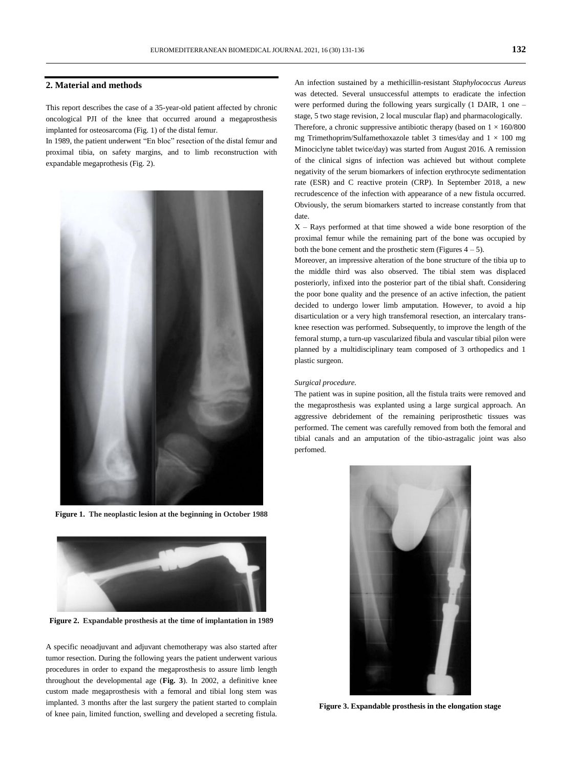#### **2. Material and methods**

This report describes the case of a 35-year-old patient affected by chronic oncological PJI of the knee that occurred around a megaprosthesis implanted for osteosarcoma (Fig. 1) of the distal femur.

In 1989, the patient underwent "En bloc" resection of the distal femur and proximal tibia, on safety margins, and to limb reconstruction with expandable megaprothesis (Fig. 2).



**Figure 1. The neoplastic lesion at the beginning in October 1988**



**Figure 2. Expandable prosthesis at the time of implantation in 1989**

A specific neoadjuvant and adjuvant chemotherapy was also started after tumor resection. During the following years the patient underwent various procedures in order to expand the megaprosthesis to assure limb length throughout the developmental age (**Fig. 3**). In 2002, a definitive knee custom made megaprosthesis with a femoral and tibial long stem was implanted. 3 months after the last surgery the patient started to complain of knee pain, limited function, swelling and developed a secreting fistula.

An infection sustained by a methicillin-resistant *Staphylococcus Aureus*  was detected. Several unsuccessful attempts to eradicate the infection were performed during the following years surgically (1 DAIR, 1 one – stage, 5 two stage revision, 2 local muscular flap) and pharmacologically.

Therefore, a chronic suppressive antibiotic therapy (based on  $1 \times 160/800$ mg Trimethoprim/Sulfamethoxazole tablet 3 times/day and  $1 \times 100$  mg Minociclyne tablet twice/day) was started from August 2016. A remission of the clinical signs of infection was achieved but without complete negativity of the serum biomarkers of infection erythrocyte sedimentation rate (ESR) and C reactive protein (CRP). In September 2018, a new recrudescence of the infection with appearance of a new fistula occurred. Obviously, the serum biomarkers started to increase constantly from that date.

X – Rays performed at that time showed a wide bone resorption of the proximal femur while the remaining part of the bone was occupied by both the bone cement and the prosthetic stem (Figures  $4 - 5$ ).

Moreover, an impressive alteration of the bone structure of the tibia up to the middle third was also observed. The tibial stem was displaced posteriorly, infixed into the posterior part of the tibial shaft. Considering the poor bone quality and the presence of an active infection, the patient decided to undergo lower limb amputation. However, to avoid a hip disarticulation or a very high transfemoral resection, an intercalary transknee resection was performed. Subsequently, to improve the length of the femoral stump, a turn-up vascularized fibula and vascular tibial pilon were planned by a multidisciplinary team composed of 3 orthopedics and 1 plastic surgeon.

#### *Surgical procedure.*

The patient was in supine position, all the fistula traits were removed and the megaprosthesis was explanted using a large surgical approach. An aggressive debridement of the remaining periprosthetic tissues was performed. The cement was carefully removed from both the femoral and tibial canals and an amputation of the tibio-astragalic joint was also perfomed.



**Figure 3. Expandable prosthesis in the elongation stage**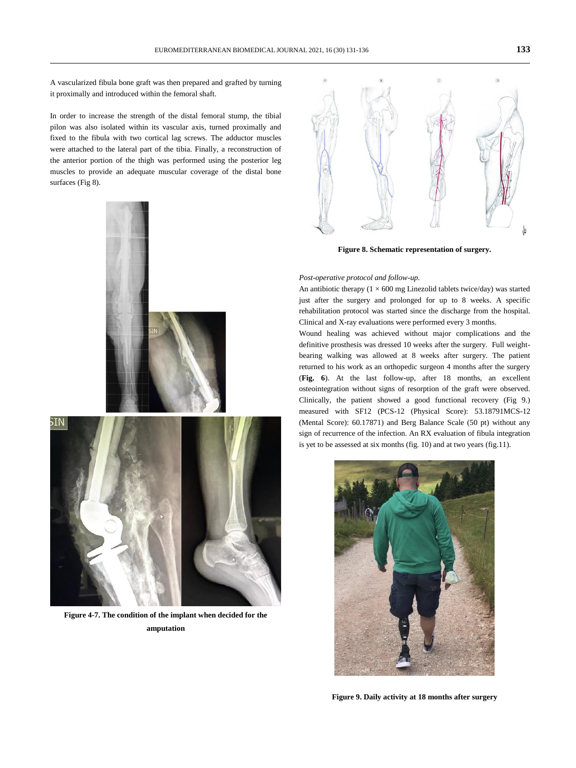A vascularized fibula bone graft was then prepared and grafted by turning it proximally and introduced within the femoral shaft.

In order to increase the strength of the distal femoral stump, the tibial pilon was also isolated within its vascular axis, turned proximally and fixed to the fibula with two cortical lag screws. The adductor muscles were attached to the lateral part of the tibia. Finally, a reconstruction of the anterior portion of the thigh was performed using the posterior leg muscles to provide an adequate muscular coverage of the distal bone surfaces (Fig 8).



**Figure 4-7. The condition of the implant when decided for the amputation**



**Figure 8. Schematic representation of surgery.**

#### *Post-operative protocol and follow-up.*

An antibiotic therapy ( $1 \times 600$  mg Linezolid tablets twice/day) was started just after the surgery and prolonged for up to 8 weeks. A specific rehabilitation protocol was started since the discharge from the hospital. Clinical and X-ray evaluations were performed every 3 months.

Wound healing was achieved without major complications and the definitive prosthesis was dressed 10 weeks after the surgery. Full weightbearing walking was allowed at 8 weeks after surgery. The patient returned to his work as an orthopedic surgeon 4 months after the surgery (**Fig. 6**). At the last follow-up, after 18 months, an excellent osteointegration without signs of resorption of the graft were observed. Clinically, the patient showed a good functional recovery (Fig 9.) measured with SF12 (PCS-12 (Physical Score): 53.18791MCS-12 (Mental Score): 60.17871) and Berg Balance Scale (50 pt) without any sign of recurrence of the infection. An RX evaluation of fibula integration is yet to be assessed at six months (fig. 10) and at two years (fig.11).



**Figure 9. Daily activity at 18 months after surgery**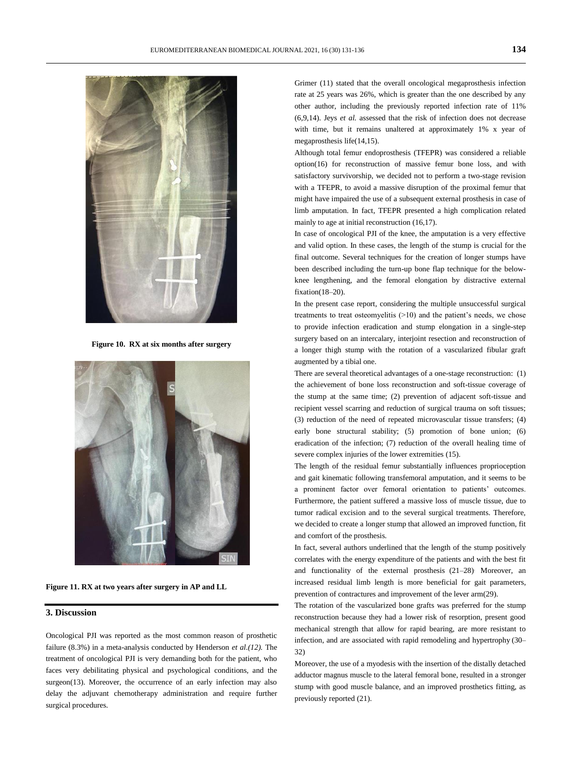

**Figure 10. RX at six months after surgery**



**Figure 11. RX at two years after surgery in AP and LL**

#### **3. Discussion**

Oncological PJI was reported as the most common reason of prosthetic failure (8.3%) in a meta-analysis conducted by Henderson *et al.(12).* The treatment of oncological PJI is very demanding both for the patient, who faces very debilitating physical and psychological conditions, and the surgeon(13). Moreover, the occurrence of an early infection may also delay the adjuvant chemotherapy administration and require further surgical procedures.

Grimer (11) stated that the overall oncological megaprosthesis infection rate at 25 years was 26%, which is greater than the one described by any other author, including the previously reported infection rate of 11% (6,9,14). Jeys *et al.* assessed that the risk of infection does not decrease with time, but it remains unaltered at approximately 1% x year of megaprosthesis life(14,15).

Although total femur endoprosthesis (TFEPR) was considered a reliable option(16) for reconstruction of massive femur bone loss, and with satisfactory survivorship, we decided not to perform a two-stage revision with a TFEPR, to avoid a massive disruption of the proximal femur that might have impaired the use of a subsequent external prosthesis in case of limb amputation. In fact, TFEPR presented a high complication related mainly to age at initial reconstruction (16,17).

In case of oncological PJI of the knee, the amputation is a very effective and valid option. In these cases, the length of the stump is crucial for the final outcome. Several techniques for the creation of longer stumps have been described including the turn-up bone flap technique for the belowknee lengthening, and the femoral elongation by distractive external fixation(18–20).

In the present case report, considering the multiple unsuccessful surgical treatments to treat osteomyelitis  $(>10)$  and the patient's needs, we chose to provide infection eradication and stump elongation in a single-step surgery based on an intercalary, interjoint resection and reconstruction of a longer thigh stump with the rotation of a vascularized fibular graft augmented by a tibial one.

There are several theoretical advantages of a one-stage reconstruction: (1) the achievement of bone loss reconstruction and soft-tissue coverage of the stump at the same time; (2) prevention of adjacent soft-tissue and recipient vessel scarring and reduction of surgical trauma on soft tissues; (3) reduction of the need of repeated microvascular tissue transfers; (4) early bone structural stability; (5) promotion of bone union; (6) eradication of the infection; (7) reduction of the overall healing time of severe complex injuries of the lower extremities (15).

The length of the residual femur substantially influences proprioception and gait kinematic following transfemoral amputation, and it seems to be a prominent factor over femoral orientation to patients' outcomes. Furthermore, the patient suffered a massive loss of muscle tissue, due to tumor radical excision and to the several surgical treatments. Therefore, we decided to create a longer stump that allowed an improved function, fit and comfort of the prosthesis.

In fact, several authors underlined that the length of the stump positively correlates with the energy expenditure of the patients and with the best fit and functionality of the external prosthesis (21–28). Moreover, an increased residual limb length is more beneficial for gait parameters, prevention of contractures and improvement of the lever arm(29).

The rotation of the vascularized bone grafts was preferred for the stump reconstruction because they had a lower risk of resorption, present good mechanical strength that allow for rapid bearing, are more resistant to infection, and are associated with rapid remodeling and hypertrophy (30– 32)

Moreover, the use of a myodesis with the insertion of the distally detached adductor magnus muscle to the lateral femoral bone, resulted in a stronger stump with good muscle balance, and an improved prosthetics fitting, as previously reported (21).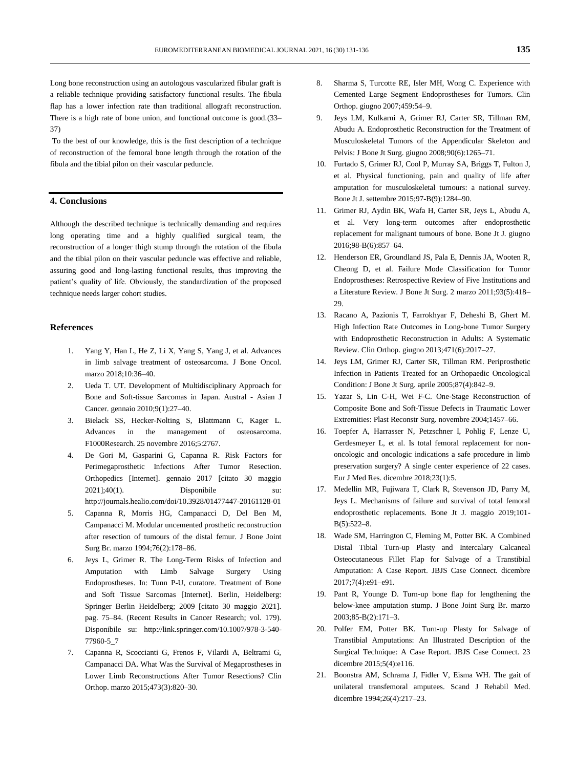Long bone reconstruction using an autologous vascularized fibular graft is a reliable technique providing satisfactory functional results. The fibula flap has a lower infection rate than traditional allograft reconstruction. There is a high rate of bone union, and functional outcome is good.(33– 37)

To the best of our knowledge, this is the first description of a technique of reconstruction of the femoral bone length through the rotation of the fibula and the tibial pilon on their vascular peduncle.

## **4. Conclusions**

Although the described technique is technically demanding and requires long operating time and a highly qualified surgical team, the reconstruction of a longer thigh stump through the rotation of the fibula and the tibial pilon on their vascular peduncle was effective and reliable, assuring good and long-lasting functional results, thus improving the patient's quality of life. Obviously, the standardization of the proposed technique needs larger cohort studies.

#### **References**

- 1. Yang Y, Han L, He Z, Li X, Yang S, Yang J, et al. Advances in limb salvage treatment of osteosarcoma. J Bone Oncol. marzo 2018;10:36–40.
- 2. Ueda T. UT. Development of Multidisciplinary Approach for Bone and Soft-tissue Sarcomas in Japan. Austral - Asian J Cancer. gennaio 2010;9(1):27–40.
- 3. Bielack SS, Hecker-Nolting S, Blattmann C, Kager L. Advances in the management of osteosarcoma. F1000Research. 25 novembre 2016;5:2767.
- 4. De Gori M, Gasparini G, Capanna R. Risk Factors for Perimegaprosthetic Infections After Tumor Resection. Orthopedics [Internet]. gennaio 2017 [citato 30 maggio 2021];40(1). Disponibile su: http://journals.healio.com/doi/10.3928/01477447-20161128-01
- 5. Capanna R, Morris HG, Campanacci D, Del Ben M, Campanacci M. Modular uncemented prosthetic reconstruction after resection of tumours of the distal femur. J Bone Joint Surg Br. marzo 1994;76(2):178–86.
- 6. Jeys L, Grimer R. The Long-Term Risks of Infection and Amputation with Limb Salvage Surgery Using Endoprostheses. In: Tunn P-U, curatore. Treatment of Bone and Soft Tissue Sarcomas [Internet]. Berlin, Heidelberg: Springer Berlin Heidelberg; 2009 [citato 30 maggio 2021]. pag. 75–84. (Recent Results in Cancer Research; vol. 179). Disponibile su: http://link.springer.com/10.1007/978-3-540- 77960-5\_7
- 7. Capanna R, Scoccianti G, Frenos F, Vilardi A, Beltrami G, Campanacci DA. What Was the Survival of Megaprostheses in Lower Limb Reconstructions After Tumor Resections? Clin Orthop. marzo 2015;473(3):820–30.
- 8. Sharma S, Turcotte RE, Isler MH, Wong C. Experience with Cemented Large Segment Endoprostheses for Tumors. Clin Orthop. giugno 2007;459:54–9.
- 9. Jeys LM, Kulkarni A, Grimer RJ, Carter SR, Tillman RM, Abudu A. Endoprosthetic Reconstruction for the Treatment of Musculoskeletal Tumors of the Appendicular Skeleton and Pelvis: J Bone Jt Surg. giugno 2008;90(6):1265–71.
- 10. Furtado S, Grimer RJ, Cool P, Murray SA, Briggs T, Fulton J, et al. Physical functioning, pain and quality of life after amputation for musculoskeletal tumours: a national survey. Bone Jt J. settembre 2015;97-B(9):1284–90.
- 11. Grimer RJ, Aydin BK, Wafa H, Carter SR, Jeys L, Abudu A, et al. Very long-term outcomes after endoprosthetic replacement for malignant tumours of bone. Bone Jt J. giugno 2016;98-B(6):857–64.
- 12. Henderson ER, Groundland JS, Pala E, Dennis JA, Wooten R, Cheong D, et al. Failure Mode Classification for Tumor Endoprostheses: Retrospective Review of Five Institutions and a Literature Review. J Bone Jt Surg. 2 marzo 2011;93(5):418– 29.
- 13. Racano A, Pazionis T, Farrokhyar F, Deheshi B, Ghert M. High Infection Rate Outcomes in Long-bone Tumor Surgery with Endoprosthetic Reconstruction in Adults: A Systematic Review. Clin Orthop. giugno 2013;471(6):2017–27.
- 14. Jeys LM, Grimer RJ, Carter SR, Tillman RM. Periprosthetic Infection in Patients Treated for an Orthopaedic Oncological Condition: J Bone Jt Surg. aprile 2005;87(4):842–9.
- 15. Yazar S, Lin C-H, Wei F-C. One-Stage Reconstruction of Composite Bone and Soft-Tissue Defects in Traumatic Lower Extremities: Plast Reconstr Surg. novembre 2004;1457–66.
- 16. Toepfer A, Harrasser N, Petzschner I, Pohlig F, Lenze U, Gerdesmeyer L, et al. Is total femoral replacement for nononcologic and oncologic indications a safe procedure in limb preservation surgery? A single center experience of 22 cases. Eur J Med Res. dicembre 2018;23(1):5.
- 17. Medellin MR, Fujiwara T, Clark R, Stevenson JD, Parry M, Jeys L. Mechanisms of failure and survival of total femoral endoprosthetic replacements. Bone Jt J. maggio 2019;101- B(5):522–8.
- 18. Wade SM, Harrington C, Fleming M, Potter BK. A Combined Distal Tibial Turn-up Plasty and Intercalary Calcaneal Osteocutaneous Fillet Flap for Salvage of a Transtibial Amputation: A Case Report. JBJS Case Connect. dicembre 2017;7(4):e91–e91.
- 19. Pant R, Younge D. Turn-up bone flap for lengthening the below-knee amputation stump. J Bone Joint Surg Br. marzo 2003;85-B(2):171–3.
- 20. Polfer EM, Potter BK. Turn-up Plasty for Salvage of Transtibial Amputations: An Illustrated Description of the Surgical Technique: A Case Report. JBJS Case Connect. 23 dicembre 2015;5(4):e116.
- 21. Boonstra AM, Schrama J, Fidler V, Eisma WH. The gait of unilateral transfemoral amputees. Scand J Rehabil Med. dicembre 1994;26(4):217–23.